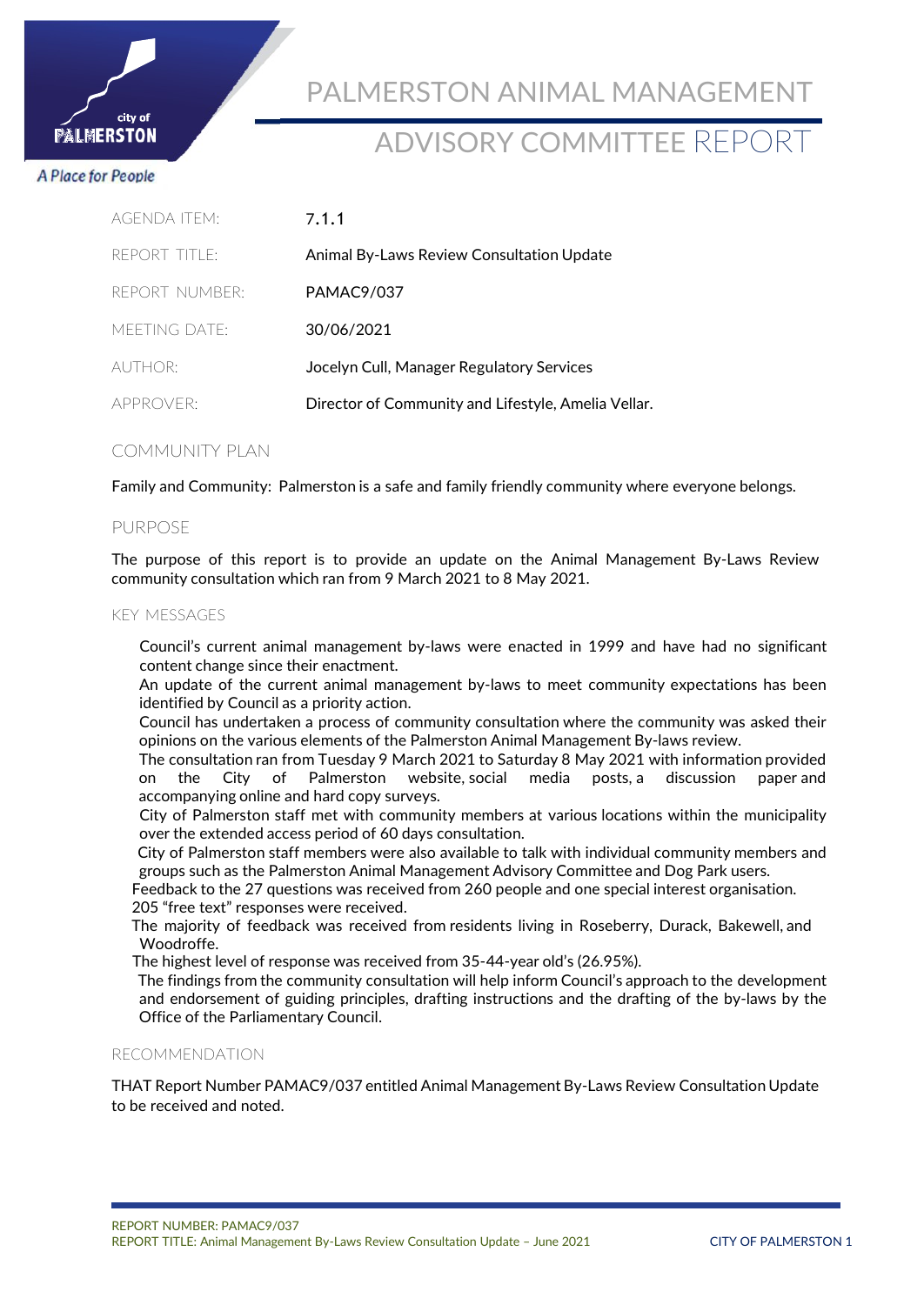

# ADVISORY COMMITTEE REPORT

### **A Place for People**

city of **ALMERSTON** 

| AGENDA ITEM <sup>.</sup> | 7.1.1                                               |
|--------------------------|-----------------------------------------------------|
| REPORT TITLE:            | Animal By-Laws Review Consultation Update           |
| REPORT NUMBER:           | <b>PAMAC9/037</b>                                   |
| MEETING DATE:            | 30/06/2021                                          |
| AUTHOR:                  | Jocelyn Cull, Manager Regulatory Services           |
| APPROVER:                | Director of Community and Lifestyle, Amelia Vellar. |
|                          |                                                     |

## COMMUNITY PLAN

Family and Community: Palmerston is a safe and family friendly community where everyone belongs.

### PURPOSE

The purpose of this report is to provide an update on the Animal Management By-Laws Review community consultation which ran from 9 March 2021 to 8 May 2021.

#### KEY MESSAGES

Council's current animal management by-laws were enacted in 1999 and have had no significant content change since their enactment.

An update of the current animal management by-laws to meet community expectations has been identified by Council as a priority action.

Council has undertaken a process of community consultation where the community was asked their opinions on the various elements of the Palmerston Animal Management By-laws review.

The consultation ran from Tuesday 9 March 2021 to Saturday 8 May 2021 with information provided on the City of Palmerston website, social media posts, a discussion paper and accompanying online and hard copy surveys.

City of Palmerston staff met with community members at various locations within the municipality over the extended access period of 60 days consultation.

City of Palmerston staff members were also available to talk with individual community members and groups such as the Palmerston Animal Management Advisory Committee and Dog Park users.

 Feedback to the 27 questions was received from 260 people and one special interest organisation. 205 "free text" responses were received.

 The majority of feedback was received from residents living in Roseberry, Durack, Bakewell, and Woodroffe.

The highest level of response was received from 35-44-year old's (26.95%).

The findings from the community consultation will help inform Council's approach to the development and endorsement of guiding principles, drafting instructions and the drafting of the by-laws by the Office of the Parliamentary Council.

#### RECOMMENDATION

THAT Report Number PAMAC9/037 entitled Animal Management By-Laws Review Consultation Update to be received and noted.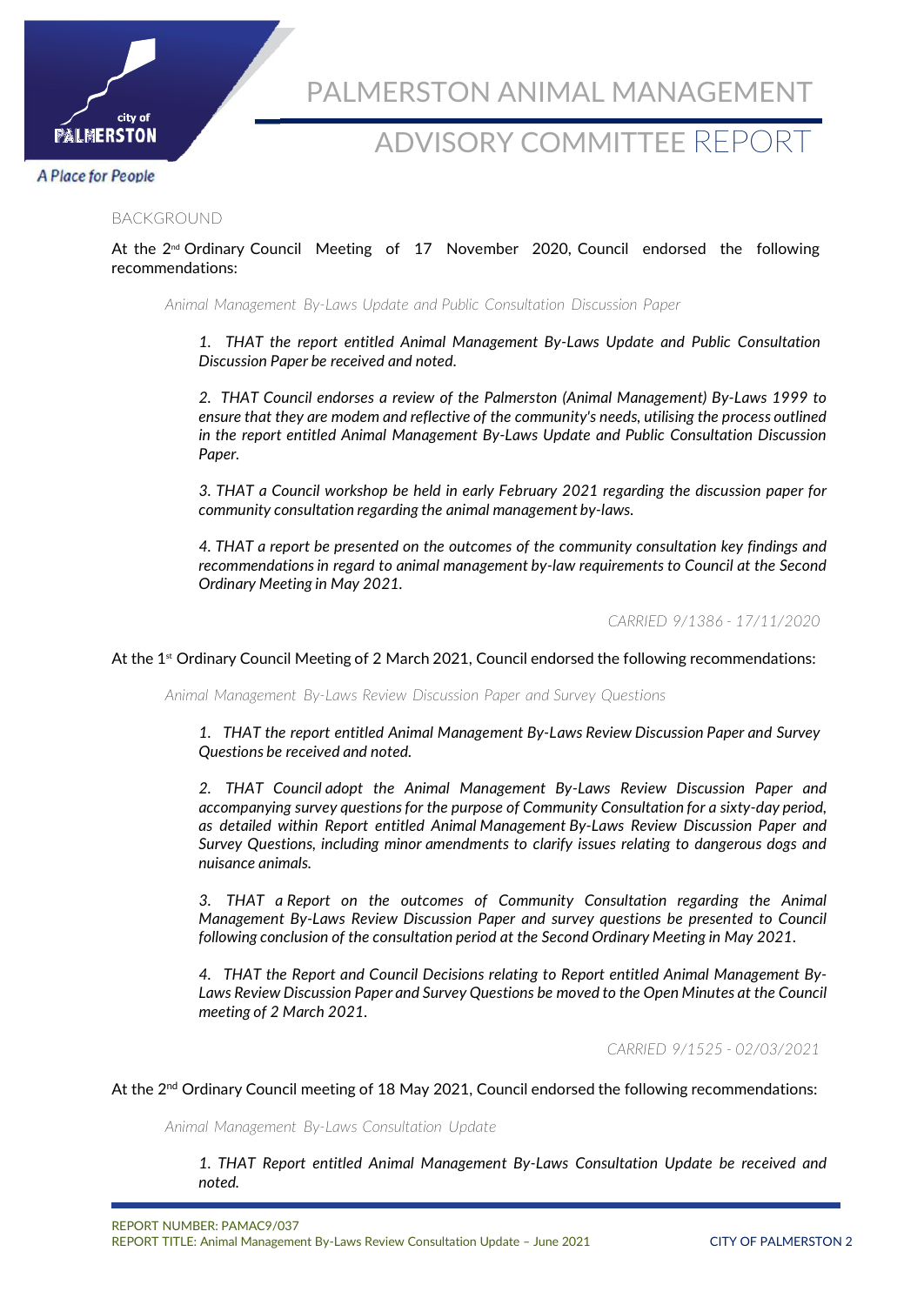

# ADVISORY COMMITTEE REPORT

### **A Place for People**

#### BACKGROUND

### At the 2<sup>nd</sup> Ordinary Council Meeting of 17 November 2020, Council endorsed the following recommendations:

*Animal Management By-Laws Update and Public Consultation Discussion Paper*

*1. THAT the report entitled Animal Management By-Laws Update and Public Consultation Discussion Paper be received and noted.*

*2. THAT Council endorses a review of the Palmerston (Animal Management) By-Laws 1999 to ensure that they are modem and reflective of the community's needs, utilising the process outlined in the report entitled Animal Management By-Laws Update and Public Consultation Discussion Paper.*

*3. THAT a Council workshop be held in early February 2021 regarding the discussion paper for community consultation regarding the animal management by-laws.*

*4. THAT a report be presented on the outcomes of the community consultation key findings and recommendations in regard to animal management by-law requirements to Council at the Second Ordinary Meeting in May 2021.*

*CARRIED 9/1386 - 17/11/2020*

At the 1<sup>st</sup> Ordinary Council Meeting of 2 March 2021, Council endorsed the following recommendations:

*Animal Management By-Laws Review Discussion Paper and Survey Questions*

*1. THAT the report entitled Animal Management By-Laws Review Discussion Paper and Survey Questions be received and noted.*

*2. THAT Council adopt the Animal Management By-Laws Review Discussion Paper and accompanying survey questions for the purpose of Community Consultation for a sixty-day period, as detailed within Report entitled Animal Management By-Laws Review Discussion Paper and Survey Questions, including minor amendments to clarify issues relating to dangerous dogs and nuisance animals.*

*3. THAT a Report on the outcomes of Community Consultation regarding the Animal Management By-Laws Review Discussion Paper and survey questions be presented to Council following conclusion of the consultation period at the Second Ordinary Meeting in May 2021.*

*4. THAT the Report and Council Decisions relating to Report entitled Animal Management By-Laws Review Discussion Paper and Survey Questions be moved to the Open Minutes at the Council meeting of 2 March 2021.*

*CARRIED 9/1525 - 02/03/2021*

At the 2<sup>nd</sup> Ordinary Council meeting of 18 May 2021, Council endorsed the following recommendations:

*Animal Management By-Laws Consultation Update*

*1. THAT Report entitled Animal Management By-Laws Consultation Update be received and noted.*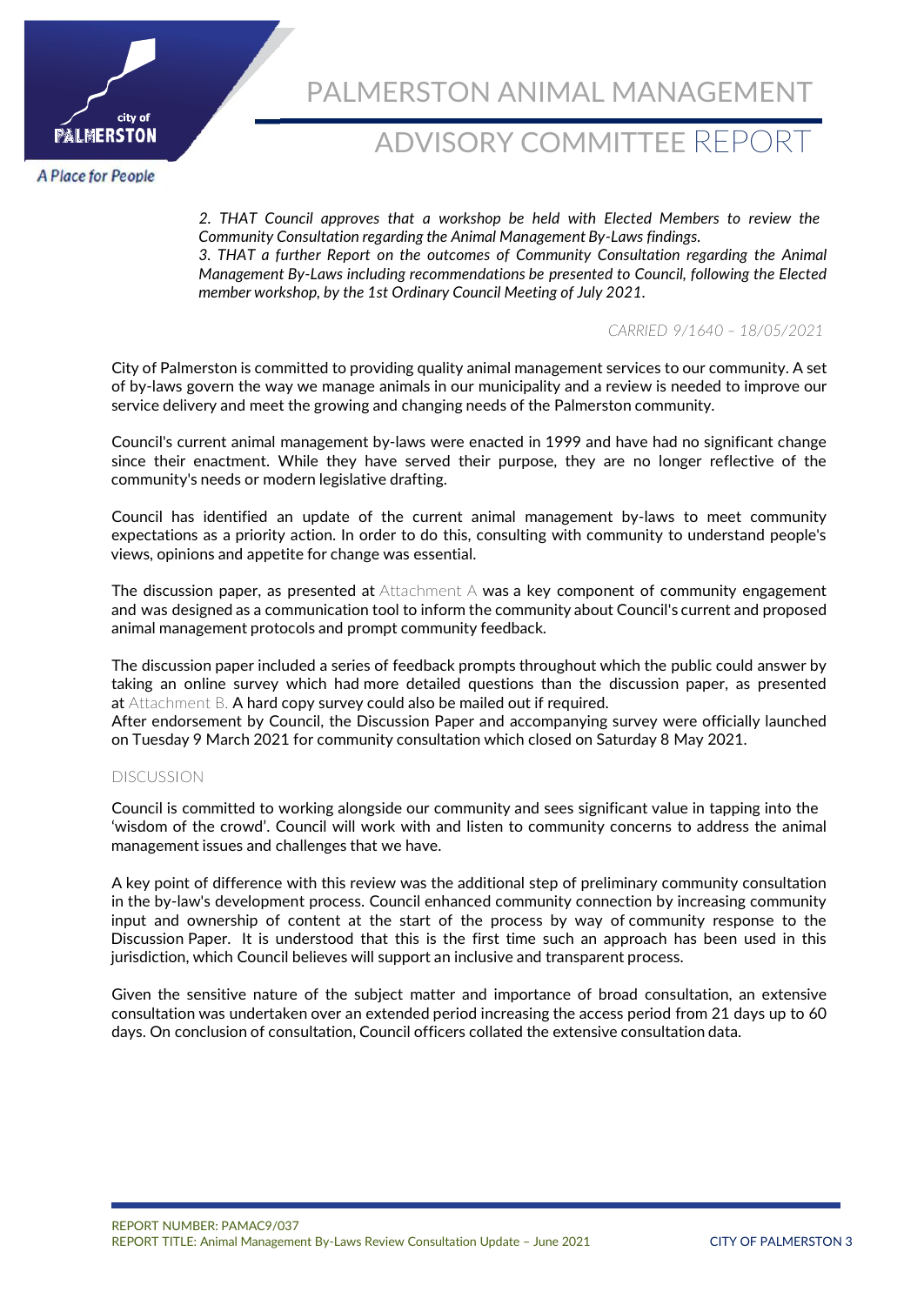

# ADVISORY COMMITTEE REPORT

**A Place for People** 

*2. THAT Council approves that a workshop be held with Elected Members to review the Community Consultation regarding the Animal Management By-Laws findings. 3. THAT a further Report on the outcomes of Community Consultation regarding the Animal Management By-Laws including recommendations be presented to Council, following the Elected member workshop, by the 1st Ordinary Council Meeting of July 2021.*

*CARRIED 9/1640 – 18/05/2021*

City of Palmerston is committed to providing quality animal management services to our community. A set of by-laws govern the way we manage animals in our municipality and a review is needed to improve our service delivery and meet the growing and changing needs of the Palmerston community.

Council's current animal management by-laws were enacted in 1999 and have had no significant change since their enactment. While they have served their purpose, they are no longer reflective of the community's needs or modern legislative drafting.

Council has identified an update of the current animal management by-laws to meet community expectations as a priority action. In order to do this, consulting with community to understand people's views, opinions and appetite for change was essential.

The discussion paper, as presented at Attachment A was a key component of community engagement and was designed as a communication tool to inform the community about Council's current and proposed animal management protocols and prompt community feedback.

The discussion paper included a series of feedback prompts throughout which the public could answer by taking an online survey which had more detailed questions than the discussion paper, as presented at Attachment B. A hard copy survey could also be mailed out if required.

After endorsement by Council, the Discussion Paper and accompanying survey were officially launched on Tuesday 9 March 2021 for community consultation which closed on Saturday 8 May 2021.

#### DISCUSSION

Council is committed to working alongside our community and sees significant value in tapping into the 'wisdom of the crowd'. Council will work with and listen to community concerns to address the animal management issues and challenges that we have.

A key point of difference with this review was the additional step of preliminary community consultation in the by-law's development process. Council enhanced community connection by increasing community input and ownership of content at the start of the process by way of community response to the Discussion Paper. It is understood that this is the first time such an approach has been used in this jurisdiction, which Council believes will support an inclusive and transparent process.

Given the sensitive nature of the subject matter and importance of broad consultation, an extensive consultation was undertaken over an extended period increasing the access period from 21 days up to 60 days. On conclusion of consultation, Council officers collated the extensive consultation data.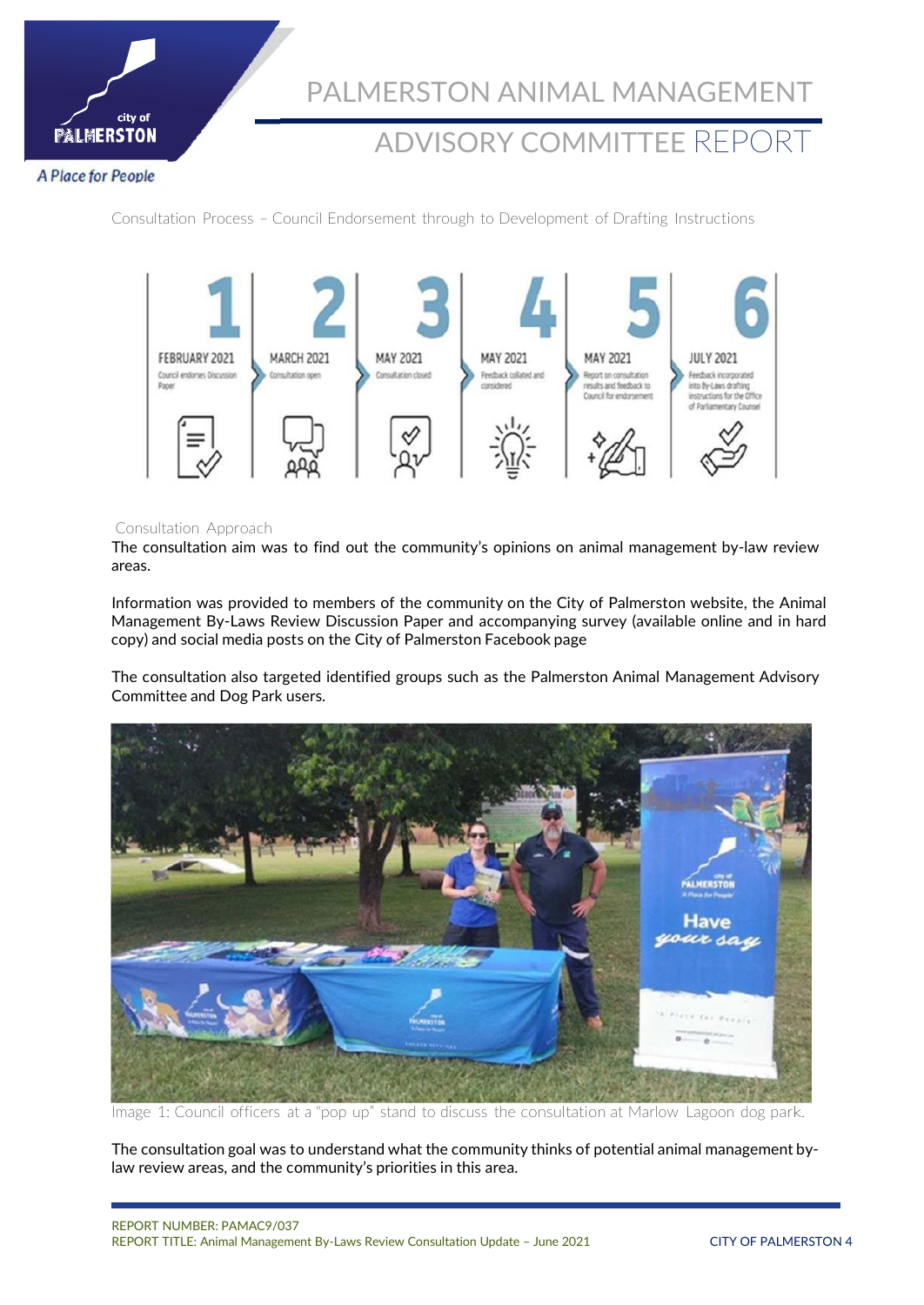

# ADVISORY COMMITTEE REPORT

**A Place for People** 

Consultation Process – Council Endorsement through to Development of Drafting Instructions



#### Consultation Approach

The consultation aim was to find out the community's opinions on animal management by-law review areas.

Information was provided to members of the community on the City of Palmerston website, the Animal Management By-Laws Review Discussion Paper and accompanying survey (available online and in hard copy) and social media posts on the City of Palmerston Facebook page

The consultation also targeted identified groups such as the Palmerston Animal Management Advisory Committee and Dog Park users.



Image 1: Council officers at a "pop up" stand to discuss the consultation at Marlow Lagoon dog park.

The consultation goal was to understand what the community thinks of potential animal management bylaw review areas, and the community's priorities in this area.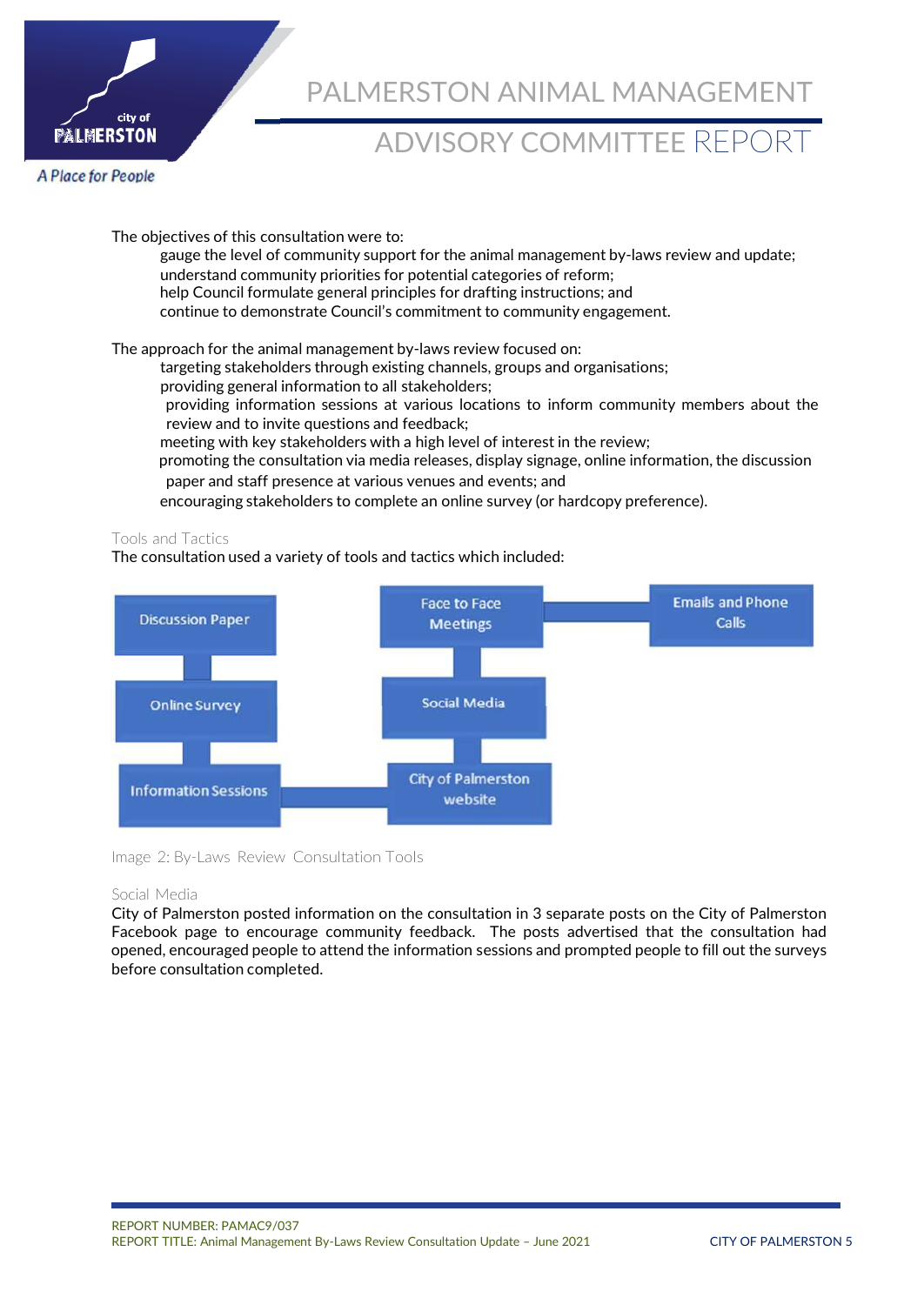

# ADVISORY COMMITTEE REPORT

**A Place for People** 

The objectives of this consultation were to: gauge the level of community support for the animal management by-laws review and update; understand community priorities for potential categories of reform; help Council formulate general principles for drafting instructions; and continue to demonstrate Council's commitment to community engagement.

The approach for the animal management by-laws review focused on:

targeting stakeholders through existing channels, groups and organisations;

providing general information to all stakeholders;

providing information sessions at various locations to inform community members about the review and to invite questions and feedback;

meeting with key stakeholders with a high level of interest in the review;

 promoting the consultation via media releases, display signage, online information, the discussion paper and staff presence at various venues and events; and

encouraging stakeholders to complete an online survey (or hardcopy preference).

### Tools and Tactics

The consultation used a variety of tools and tactics which included:



Image 2: By-Laws Review Consultation Tools

#### Social Media

City of Palmerston posted information on the consultation in 3 separate posts on the City of Palmerston Facebook page to encourage community feedback. The posts advertised that the consultation had opened, encouraged people to attend the information sessions and prompted people to fill out the surveys before consultation completed.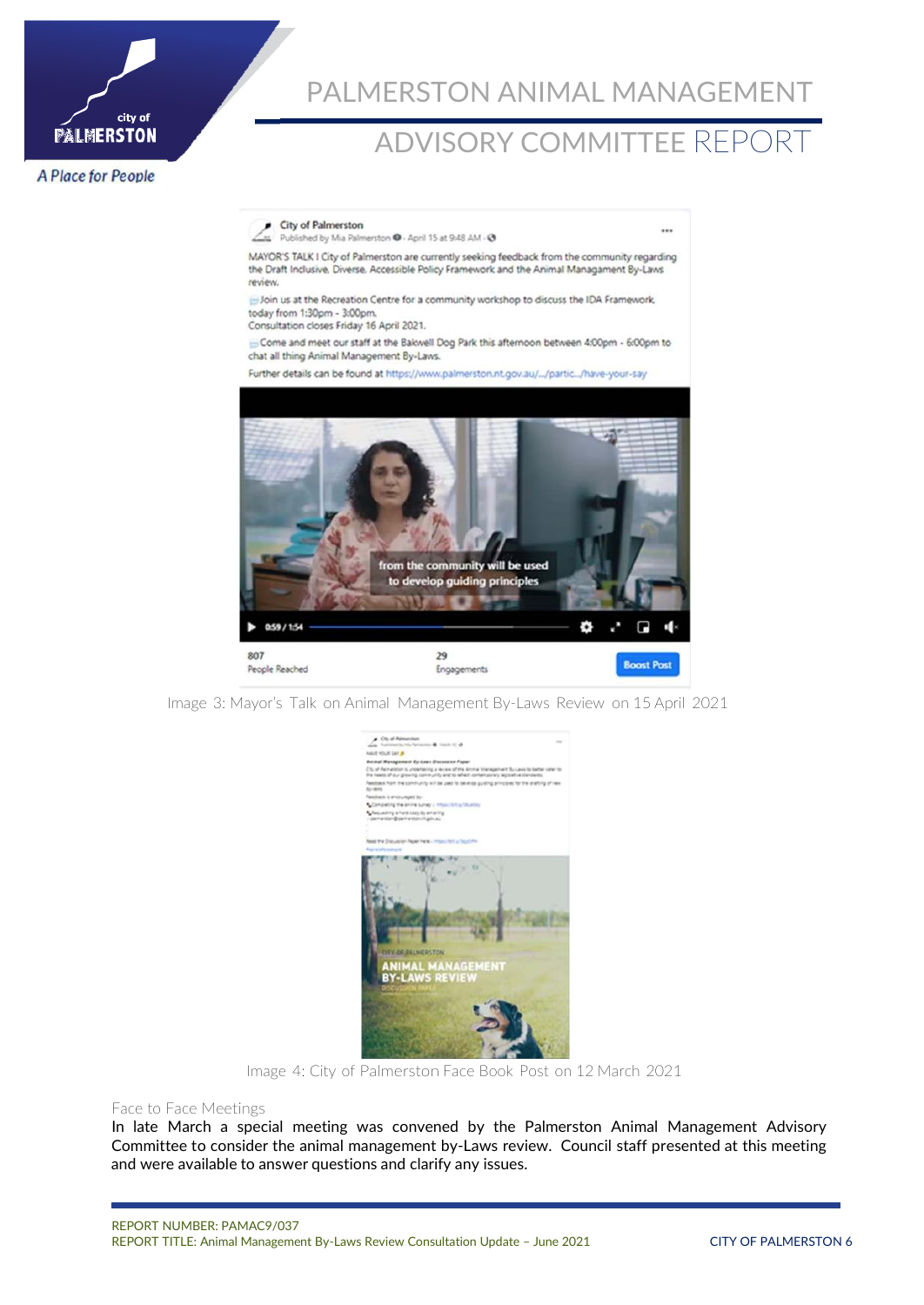

# ADVISORY COMMITTEE REPORT

**A Place for People** 



Image 3: Mayor's Talk on Animal Management By-Laws Review on 15 April 2021



Image 4: City of Palmerston Face Book Post on 12 March 2021

#### Face to Face Meetings

In late March a special meeting was convened by the Palmerston Animal Management Advisory Committee to consider the animal management by-Laws review. Council staff presented at this meeting and were available to answer questions and clarify any issues.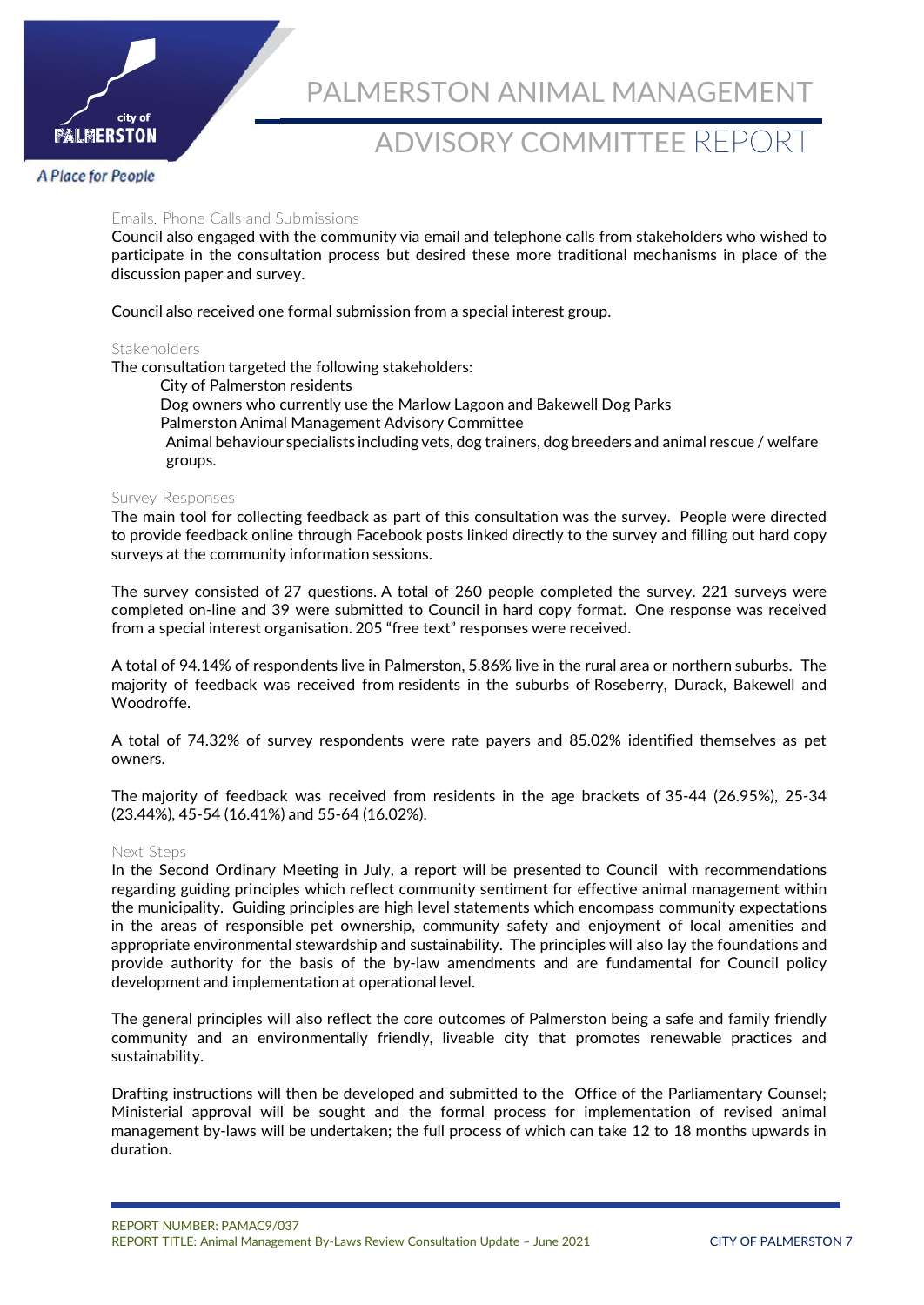

# ADVISORY COMMITTEE REPORT

#### **A Place for People**

#### Emails, Phone Calls and Submissions

Council also engaged with the community via email and telephone calls from stakeholders who wished to participate in the consultation process but desired these more traditional mechanisms in place of the discussion paper and survey.

Council also received one formal submission from a special interest group.

#### **Stakeholders**

The consultation targeted the following stakeholders:

City of Palmerston residents

Dog owners who currently use the Marlow Lagoon and Bakewell Dog Parks

Palmerston Animal Management Advisory Committee

Animal behaviour specialists including vets, dog trainers, dog breeders and animal rescue / welfare groups.

#### Survey Responses

The main tool for collecting feedback as part of this consultation was the survey. People were directed to provide feedback online through Facebook posts linked directly to the survey and filling out hard copy surveys at the community information sessions.

The survey consisted of 27 questions. A total of 260 people completed the survey. 221 surveys were completed on-line and 39 were submitted to Council in hard copy format. One response was received from a special interest organisation. 205 "free text" responses were received.

A total of 94.14% of respondents live in Palmerston, 5.86% live in the rural area or northern suburbs. The majority of feedback was received from residents in the suburbs of Roseberry, Durack, Bakewell and Woodroffe.

A total of 74.32% of survey respondents were rate payers and 85.02% identified themselves as pet owners.

The majority of feedback was received from residents in the age brackets of 35-44 (26.95%), 25-34 (23.44%), 45-54 (16.41%) and 55-64 (16.02%).

#### Next Steps

In the Second Ordinary Meeting in July, a report will be presented to Council with recommendations regarding guiding principles which reflect community sentiment for effective animal management within the municipality. Guiding principles are high level statements which encompass community expectations in the areas of responsible pet ownership, community safety and enjoyment of local amenities and appropriate environmental stewardship and sustainability. The principles will also lay the foundations and provide authority for the basis of the by-law amendments and are fundamental for Council policy development and implementation at operational level.

The general principles will also reflect the core outcomes of Palmerston being a safe and family friendly community and an environmentally friendly, liveable city that promotes renewable practices and sustainability.

Drafting instructions will then be developed and submitted to the Office of the Parliamentary Counsel; Ministerial approval will be sought and the formal process for implementation of revised animal management by-laws will be undertaken; the full process of which can take 12 to 18 months upwards in duration.